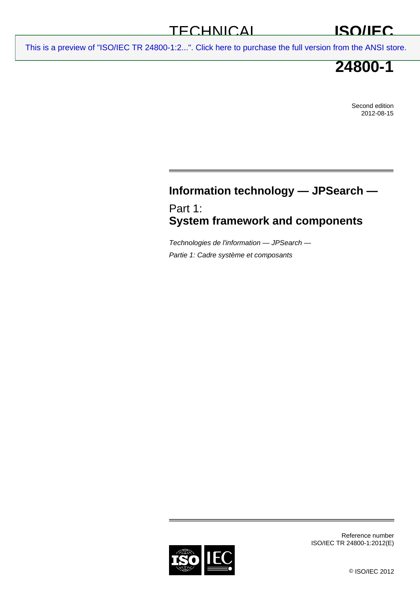## **TECHNICAL**

# **ISO/IEC**

[This is a preview of "ISO/IEC TR 24800-1:2...". Click here to purchase the full version from the ANSI store.](http://webstore.ansi.org/RecordDetail.aspx?sku=ISO%2FIEC%20TR%2024800-1:2012&source=preview)

# **24800-1**

Second edition 2012-08-15

## **Information technology — JPSearch —**

Part 1: **System framework and components** 

*Technologies de l'information — JPSearch — Partie 1: Cadre système et composants* 



Reference number ISO/IEC TR 24800-1:2012(E)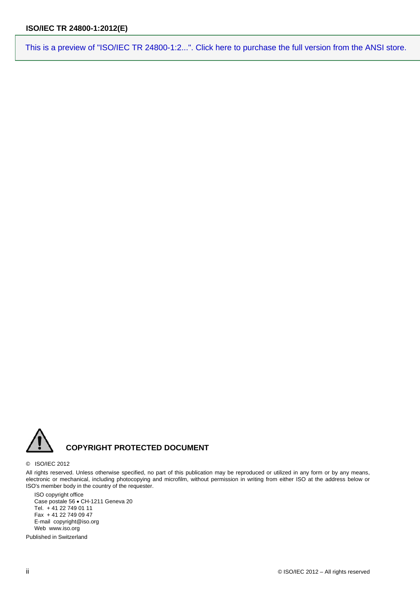

#### © ISO/IEC 2012

All rights reserved. Unless otherwise specified, no part of this publication may be reproduced or utilized in any form or by any means, electronic or mechanical, including photocopying and microfilm, without permission in writing from either ISO at the address below or ISO's member body in the country of the requester.

ISO copyright office Case postale 56 · CH-1211 Geneva 20 Tel. + 41 22 749 01 11 Fax + 41 22 749 09 47 E-mail copyright@iso.org Web www.iso.org

Published in Switzerland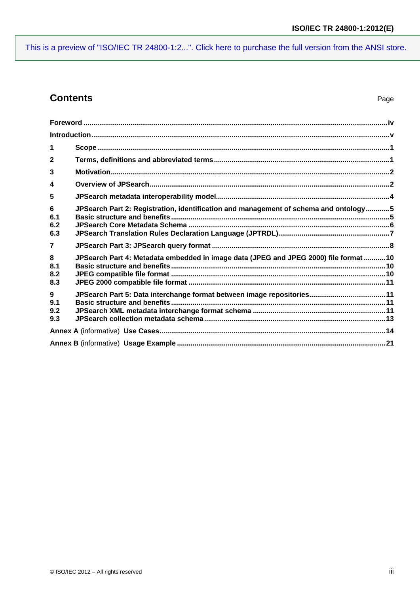## **Contents**

| 1                                    |                                                                                       |  |
|--------------------------------------|---------------------------------------------------------------------------------------|--|
| $\mathbf{2}$                         |                                                                                       |  |
| 3                                    |                                                                                       |  |
| $\overline{\mathbf{4}}$              |                                                                                       |  |
| 5                                    |                                                                                       |  |
| $6\phantom{1}6$<br>6.1<br>6.2<br>6.3 | JPSearch Part 2: Registration, identification and management of schema and ontology5  |  |
| $\overline{7}$                       |                                                                                       |  |
| 8<br>8.1<br>8.2<br>8.3               | JPSearch Part 4: Metadata embedded in image data (JPEG and JPEG 2000) file format  10 |  |
| $9^{\circ}$<br>9.1<br>9.2<br>9.3     |                                                                                       |  |
|                                      |                                                                                       |  |
|                                      |                                                                                       |  |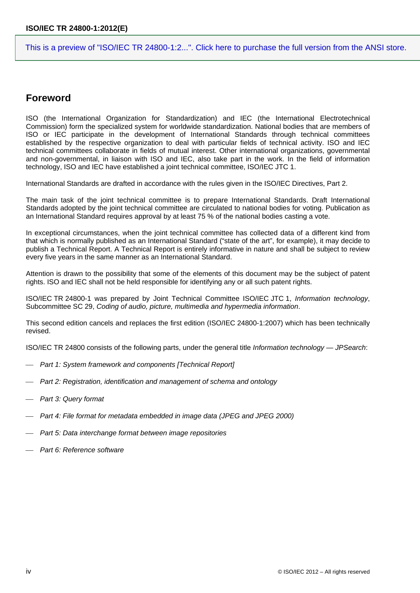### <span id="page-3-0"></span>**Foreword**

ISO (the International Organization for Standardization) and IEC (the International Electrotechnical Commission) form the specialized system for worldwide standardization. National bodies that are members of ISO or IEC participate in the development of International Standards through technical committees established by the respective organization to deal with particular fields of technical activity. ISO and IEC technical committees collaborate in fields of mutual interest. Other international organizations, governmental and non-governmental, in liaison with ISO and IEC, also take part in the work. In the field of information technology, ISO and IEC have established a joint technical committee, ISO/IEC JTC 1.

International Standards are drafted in accordance with the rules given in the ISO/IEC Directives, Part 2.

The main task of the joint technical committee is to prepare International Standards. Draft International Standards adopted by the joint technical committee are circulated to national bodies for voting. Publication as an International Standard requires approval by at least 75 % of the national bodies casting a vote.

In exceptional circumstances, when the joint technical committee has collected data of a different kind from that which is normally published as an International Standard ("state of the art", for example), it may decide to publish a Technical Report. A Technical Report is entirely informative in nature and shall be subject to review every five years in the same manner as an International Standard.

Attention is drawn to the possibility that some of the elements of this document may be the subject of patent rights. ISO and IEC shall not be held responsible for identifying any or all such patent rights.

ISO/IEC TR 24800-1 was prepared by Joint Technical Committee ISO/IEC JTC 1, *Information technology*, Subcommittee SC 29, *Coding of audio, picture, multimedia and hypermedia information*.

This second edition cancels and replaces the first edition (ISO/IEC 24800-1:2007) which has been technically revised.

ISO/IEC TR 24800 consists of the following parts, under the general title *Information technology — JPSearch*:

- **Part 1: System framework and components [Technical Report]**
- *Part 2: Registration, identification and management of schema and ontology*
- *Part 3: Query format*
- Part 4: File format for metadata embedded in image data (JPEG and JPEG 2000)
- *Part 5: Data interchange format between image repositories*
- *Part 6: Reference software*